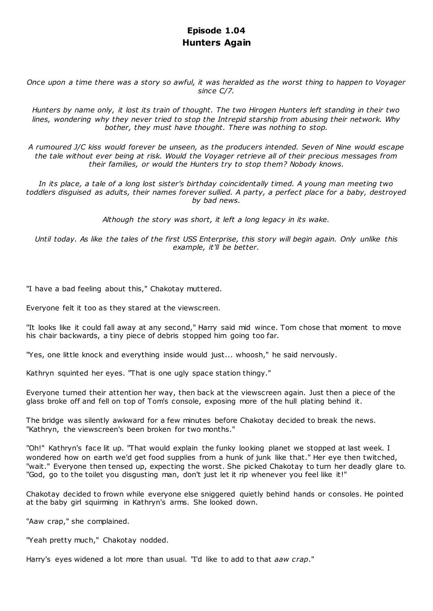# **Episode 1.04 Hunters Again**

*Once upon a time there was a story so awful, it was heralded as the worst thing to happen to Voyager since C/7.*

*Hunters by name only, it lost its train of thought. The two Hirogen Hunters left standing in their two lines, wondering why they never tried to stop the Intrepid starship from abusing their network. Why bother, they must have thought. There was nothing to stop.*

*A rumoured J/C kiss would forever be unseen, as the producers intended. Seven of Nine would escape the tale without ever being at risk. Would the Voyager retrieve all of their precious messages from their families, or would the Hunters try to stop them? Nobody knows.*

*In its place, a tale of a long lost sister's birthday coincidentally timed. A young man meeting two toddlers disguised as adults, their names forever sullied. A party, a perfect place for a baby, destroyed by bad news.*

*Although the story was short, it left a long legacy in its wake.*

*Until today. As like the tales of the first USS Enterprise, this story will begin again. Only unlike this example, it'll be better.*

"I have a bad feeling about this," Chakotay muttered.

Everyone felt it too as they stared at the viewscreen.

"It looks like it could fall away at any second," Harry said mid wince. Tom chose that moment to move his chair backwards, a tiny piece of debris stopped him going too far.

"Yes, one little knock and everything inside would just... whoosh," he said nervously.

Kathryn squinted her eyes. "That is one ugly space station thingy."

Everyone turned their attention her way, then back at the viewscreen again. Just then a piece of the glass broke off and fell on top of Tom's console, exposing more of the hull plating behind it.

The bridge was silently awkward for a few minutes before Chakotay decided to break the news. "Kathryn, the viewscreen's been broken for two months."

"Oh!" Kathryn's face lit up. "That would explain the funky looking planet we stopped at last week. I wondered how on earth we'd get food supplies from a hunk of junk like that." Her eye then twitched, "wait." Everyone then tensed up, expecting the worst. She picked Chakotay to turn her deadly glare to. "God, go to the toilet you disgusting man, don't just let it rip whenever you feel like it!"

Chakotay decided to frown while everyone else sniggered quietly behind hands or consoles. He pointed at the baby girl squirming in Kathryn's arms. She looked down.

"Aaw crap," she complained.

"Yeah pretty much," Chakotay nodded.

Harry's eyes widened a lot more than usual. "I'd like to add to that *aaw crap*."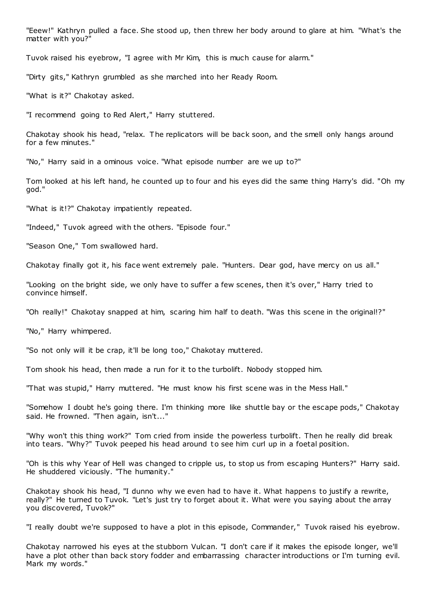"Eeew!" Kathryn pulled a face. She stood up, then threw her body around to glare at him. "What's the matter with you?"

Tuvok raised his eyebrow, "I agree with Mr Kim, this is much cause for alarm."

"Dirty gits," Kathryn grumbled as she marched into her Ready Room.

"What is it?" Chakotay asked.

"I recommend going to Red Alert," Harry stuttered.

Chakotay shook his head, "relax. The replicators will be back soon, and the smell only hangs around for a few minutes."

"No," Harry said in a ominous voice. "What episode number are we up to?"

Tom looked at his left hand, he counted up to four and his eyes did the same thing Harry's did. "Oh my god."

"What is it!?" Chakotay impatiently repeated.

"Indeed," Tuvok agreed with the others. "Episode four."

"Season One," Tom swallowed hard.

Chakotay finally got it, his face went extremely pale. "Hunters. Dear god, have mercy on us all."

"Looking on the bright side, we only have to suffer a few scenes, then it's over," Harry tried to convince himself.

"Oh really!" Chakotay snapped at him, scaring him half to death. "Was this scene in the original!?"

"No," Harry whimpered.

"So not only will it be crap, it'll be long too," Chakotay muttered.

Tom shook his head, then made a run for it to the turbolift. Nobody stopped him.

"That was stupid," Harry muttered. "He must know his first scene was in the Mess Hall."

"Somehow I doubt he's going there. I'm thinking more like shuttle bay or the escape pods," Chakotay said. He frowned. "Then again, isn't..."

"Why won't this thing work?" Tom cried from inside the powerless turbolift. Then he really did break into tears. "Why?" Tuvok peeped his head around to see him curl up in a foetal position.

"Oh is this why Year of Hell was changed to cripple us, to stop us from escaping Hunters?" Harry said. He shuddered viciously. "The humanity."

Chakotay shook his head, "I dunno why we even had to have it. What happens to justify a rewrite, really?" He turned to Tuvok. "Let's just try to forget about it. What were you saying about the array you discovered, Tuvok?"

"I really doubt we're supposed to have a plot in this episode, Commander," Tuvok raised his eyebrow.

Chakotay narrowed his eyes at the stubborn Vulcan. "I don't care if it makes the episode longer, we'll have a plot other than back story fodder and embarrassing character introductions or I'm turning evil. Mark my words."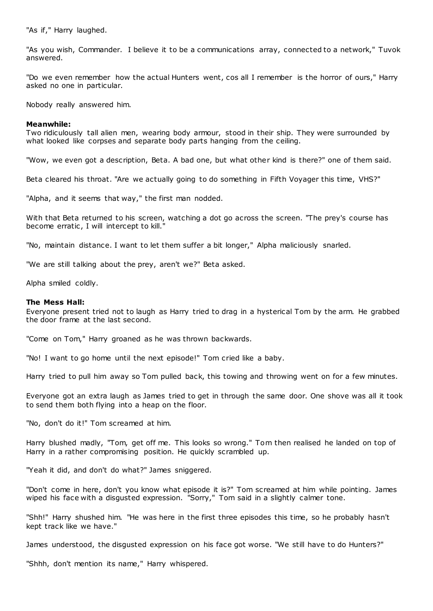"As if," Harry laughed.

"As you wish, Commander. I believe it to be a communications array, connected to a network," Tuvok answered.

"Do we even remember how the actual Hunters went, cos all I remember is the horror of ours," Harry asked no one in particular.

Nobody really answered him.

## **Meanwhile:**

Two ridiculously tall alien men, wearing body armour, stood in their ship. They were surrounded by what looked like corpses and separate body parts hanging from the ceiling.

"Wow, we even got a description, Beta. A bad one, but what other kind is there?" one of them said.

Beta cleared his throat. "Are we actually going to do something in Fifth Voyager this time, VHS?"

"Alpha, and it seems that way," the first man nodded.

With that Beta returned to his screen, watching a dot go across the screen. "The prey's course has become erratic, I will intercept to kill."

"No, maintain distance. I want to let them suffer a bit longer," Alpha maliciously snarled.

"We are still talking about the prey, aren't we?" Beta asked.

Alpha smiled coldly.

## **The Mess Hall:**

Everyone present tried not to laugh as Harry tried to drag in a hysterical Tom by the arm. He grabbed the door frame at the last second.

"Come on Tom," Harry groaned as he was thrown backwards.

"No! I want to go home until the next episode!" Tom cried like a baby.

Harry tried to pull him away so Tom pulled back, this towing and throwing went on for a few minutes.

Everyone got an extra laugh as James tried to get in through the same door. One shove was all it took to send them both flying into a heap on the floor.

"No, don't do it!" Tom screamed at him.

Harry blushed madly, "Tom, get off me. This looks so wrong." Tom then realised he landed on top of Harry in a rather compromising position. He quickly scrambled up.

"Yeah it did, and don't do what?" James sniggered.

"Don't come in here, don't you know what episode it is?" Tom screamed at him while pointing. James wiped his face with a disgusted expression. "Sorry," Tom said in a slightly calmer tone.

"Shh!" Harry shushed him. "He was here in the first three episodes this time, so he probably hasn't kept track like we have."

James understood, the disgusted expression on his face got worse. "We still have to do Hunters?"

"Shhh, don't mention its name," Harry whispered.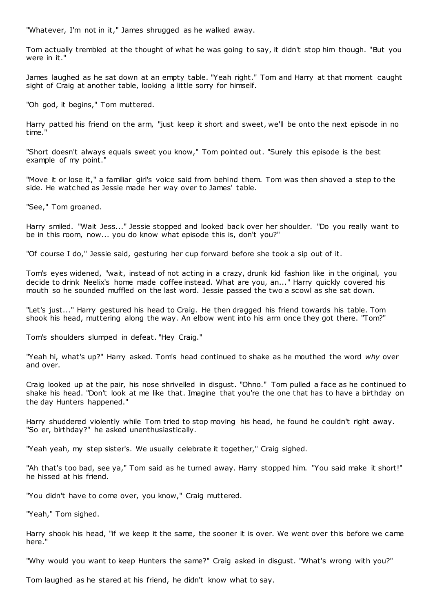"Whatever, I'm not in it," James shrugged as he walked away.

Tom actually trembled at the thought of what he was going to say, it didn't stop him though. "But you were in it."

James laughed as he sat down at an empty table. "Yeah right." Tom and Harry at that moment caught sight of Craig at another table, looking a little sorry for himself.

"Oh god, it begins," Tom muttered.

Harry patted his friend on the arm, "just keep it short and sweet, we'll be onto the next episode in no time."

"Short doesn't always equals sweet you know," Tom pointed out. "Surely this episode is the best example of my point."

"Move it or lose it," a familiar girl's voice said from behind them. Tom was then shoved a step to the side. He watched as Jessie made her way over to James' table.

"See," Tom groaned.

Harry smiled. "Wait Jess..." Jessie stopped and looked back over her shoulder. "Do you really want to be in this room, now... you do know what episode this is, don't you?"

"Of course I do," Jessie said, gesturing her cup forward before she took a sip out of it.

Tom's eyes widened, "wait, instead of not acting in a crazy, drunk kid fashion like in the original, you decide to drink Neelix's home made coffee instead. What are you, an..." Harry quickly covered his mouth so he sounded muffled on the last word. Jessie passed the two a scowl as she sat down.

"Let's just..." Harry gestured his head to Craig. He then dragged his friend towards his table. Tom shook his head, muttering along the way. An elbow went into his arm once they got there. "Tom?"

Tom's shoulders slumped in defeat. "Hey Craig."

"Yeah hi, what's up?" Harry asked. Tom's head continued to shake as he mouthed the word *why* over and over.

Craig looked up at the pair, his nose shrivelled in disgust. "Ohno." Tom pulled a face as he continued to shake his head. "Don't look at me like that. Imagine that you're the one that has to have a birthday on the day Hunters happened."

Harry shuddered violently while Tom tried to stop moving his head, he found he couldn't right away. "So er, birthday?" he asked unenthusiastically.

"Yeah yeah, my step sister's. We usually celebrate it together," Craig sighed.

"Ah that's too bad, see ya," Tom said as he turned away. Harry stopped him. "You said make it short!" he hissed at his friend.

"You didn't have to come over, you know," Craig muttered.

"Yeah," Tom sighed.

Harry shook his head, "if we keep it the same, the sooner it is over. We went over this before we came here."

"Why would you want to keep Hunters the same?" Craig asked in disgust. "What's wrong with you?"

Tom laughed as he stared at his friend, he didn't know what to say.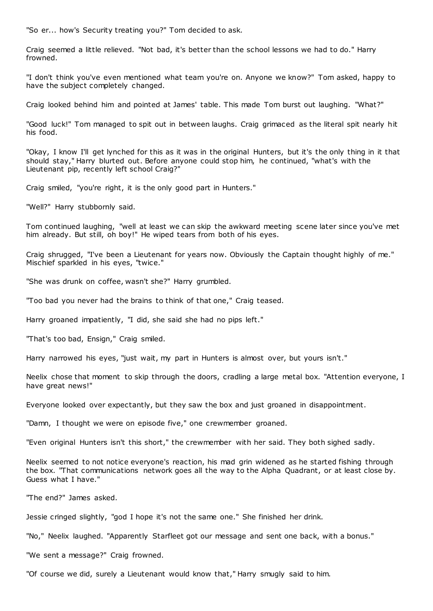"So er... how's Security treating you?" Tom decided to ask.

Craig seemed a little relieved. "Not bad, it's better than the school lessons we had to do." Harry frowned.

"I don't think you've even mentioned what team you're on. Anyone we know?" Tom asked, happy to have the subject completely changed.

Craig looked behind him and pointed at James' table. This made Tom burst out laughing. "What?"

"Good luck!" Tom managed to spit out in between laughs. Craig grimaced as the literal spit nearly hit his food.

"Okay, I know I'll get lynched for this as it was in the original Hunters, but it's the only thing in it that should stay," Harry blurted out. Before anyone could stop him, he continued, "what's with the Lieutenant pip, recently left school Craig?"

Craig smiled, "you're right, it is the only good part in Hunters."

"Well?" Harry stubbornly said.

Tom continued laughing, "well at least we can skip the awkward meeting scene later since you've met him already. But still, oh boy!" He wiped tears from both of his eyes.

Craig shrugged, "I've been a Lieutenant for years now. Obviously the Captain thought highly of me." Mischief sparkled in his eyes, "twice."

"She was drunk on coffee, wasn't she?" Harry grumbled.

"Too bad you never had the brains to think of that one," Craig teased.

Harry groaned impatiently, "I did, she said she had no pips left."

"That's too bad, Ensign," Craig smiled.

Harry narrowed his eyes, "just wait, my part in Hunters is almost over, but yours isn't."

Neelix chose that moment to skip through the doors, cradling a large metal box. "Attention everyone, I have great news!"

Everyone looked over expectantly, but they saw the box and just groaned in disappointment.

"Damn, I thought we were on episode five," one crewmember groaned.

"Even original Hunters isn't this short," the crewmember with her said. They both sighed sadly.

Neelix seemed to not notice everyone's reaction, his mad grin widened as he started fishing through the box. "That communications network goes all the way to the Alpha Quadrant, or at least close by. Guess what I have."

"The end?" James asked.

Jessie cringed slightly, "god I hope it's not the same one." She finished her drink.

"No," Neelix laughed. "Apparently Starfleet got our message and sent one back, with a bonus."

"We sent a message?" Craig frowned.

"Of course we did, surely a Lieutenant would know that," Harry smugly said to him.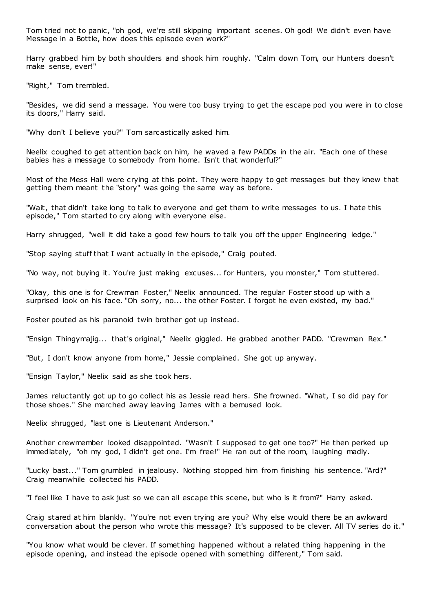Tom tried not to panic , "oh god, we're still skipping important scenes. Oh god! We didn't even have Message in a Bottle, how does this episode even work?"

Harry grabbed him by both shoulders and shook him roughly. "Calm down Tom, our Hunters doesn't make sense, ever!"

"Right," Tom trembled.

"Besides, we did send a message. You were too busy trying to get the escape pod you were in to close its doors," Harry said.

"Why don't I believe you?" Tom sarcastically asked him.

Neelix coughed to get attention back on him, he waved a few PADDs in the air. "Each one of these babies has a message to somebody from home. Isn't that wonderful?"

Most of the Mess Hall were crying at this point. They were happy to get messages but they knew that getting them meant the "story" was going the same way as before.

"Wait, that didn't take long to talk to everyone and get them to write messages to us. I hate this episode," Tom started to cry along with everyone else.

Harry shrugged, "well it did take a good few hours to talk you off the upper Engineering ledge."

"Stop saying stuff that I want actually in the episode," Craig pouted.

"No way, not buying it. You're just making excuses... for Hunters, you monster," Tom stuttered.

"Okay, this one is for Crewman Foster," Neelix announced. The regular Foster stood up with a surprised look on his face. "Oh sorry, no... the other Foster. I forgot he even existed, my bad."

Foster pouted as his paranoid twin brother got up instead.

"Ensign Thingymajig... that's original," Neelix giggled. He grabbed another PADD. "Crewman Rex."

"But, I don't know anyone from home," Jessie complained. She got up anyway.

"Ensign Taylor," Neelix said as she took hers.

James reluctantly got up to go collect his as Jessie read hers. She frowned. "What, I so did pay for those shoes." She marched away leaving James with a bemused look.

Neelix shrugged, "last one is Lieutenant Anderson."

Another crewmember looked disappointed. "Wasn't I supposed to get one too?" He then perked up immediately, "oh my god, I didn't get one. I'm free!" He ran out of the room, laughing madly.

"Lucky bast..." Tom grumbled in jealousy. Nothing stopped him from finishing his sentence. "Ard?" Craig meanwhile collected his PADD.

"I feel like I have to ask just so we can all escape this scene, but who is it from?" Harry asked.

Craig stared at him blankly. "You're not even trying are you? Why else would there be an awkward conversation about the person who wrote this message? It's supposed to be clever. All TV series do it."

"You know what would be clever. If something happened without a related thing happening in the episode opening, and instead the episode opened with something different," Tom said.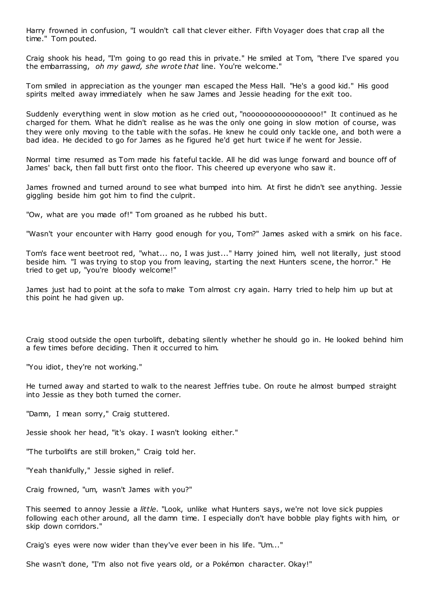Harry frowned in confusion, "I wouldn't call that clever either. Fifth Voyager does that crap all the time." Tom pouted.

Craig shook his head, "I'm going to go read this in private." He smiled at Tom, "there I've spared you the embarrassing, *oh my gawd, she wrote that* line. You're welcome."

Tom smiled in appreciation as the younger man escaped the Mess Hall. "He's a good kid." His good spirits melted away immediately when he saw James and Jessie heading for the exit too.

Suddenly everything went in slow motion as he cried out, "nooooooooooooooooo!" It continued as he charged for them. What he didn't realise as he was the only one going in slow motion of course, was they were only moving to the table with the sofas. He knew he could only tackle one, and both were a bad idea. He decided to go for James as he figured he'd get hurt twice if he went for Jessie.

Normal time resumed as Tom made his fateful tackle. All he did was lunge forward and bounce off of James' back, then fall butt first onto the floor. This cheered up everyone who saw it.

James frowned and turned around to see what bumped into him. At first he didn't see anything. Jessie giggling beside him got him to find the culprit.

"Ow, what are you made of!" Tom groaned as he rubbed his butt.

"Wasn't your encounter with Harry good enough for you, Tom?" James asked with a smirk on his face.

Tom's face went beetroot red, "what... no, I was just..." Harry joined him, well not literally, just stood beside him. "I was trying to stop you from leaving, starting the next Hunters scene, the horror." He tried to get up, "you're bloody welcome!"

James just had to point at the sofa to make Tom almost cry again. Harry tried to help him up but at this point he had given up.

Craig stood outside the open turbolift, debating silently whether he should go in. He looked behind him a few times before deciding. Then it occurred to him.

"You idiot, they're not working."

He turned away and started to walk to the nearest Jeffries tube. On route he almost bumped straight into Jessie as they both turned the corner.

"Damn, I mean sorry," Craig stuttered.

Jessie shook her head, "it's okay. I wasn't looking either."

"The turbolifts are still broken," Craig told her.

"Yeah thankfully," Jessie sighed in relief.

Craig frowned, "um, wasn't James with you?"

This seemed to annoy Jessie a *little*. "Look, unlike what Hunters says, we're not love sick puppies following each other around, all the damn time. I especially don't have bobble play fights with him, or skip down corridors."

Craig's eyes were now wider than they've ever been in his life. "Um..."

She wasn't done, "I'm also not five years old, or a Pokémon character. Okay!"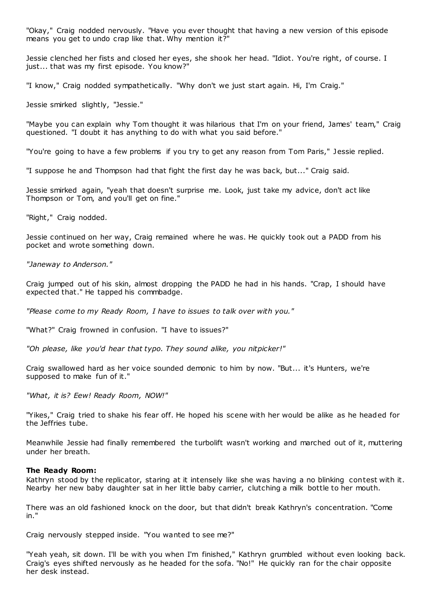"Okay," Craig nodded nervously. "Have you ever thought that having a new version of this episode means you get to undo crap like that. Why mention it?"

Jessie clenched her fists and closed her eyes, she shook her head. "Idiot. You're right, of course. I just... that was my first episode. You know?"

"I know," Craig nodded sympathetically. "Why don't we just start again. Hi, I'm Craig."

Jessie smirked slightly, "Jessie."

"Maybe you can explain why Tom thought it was hilarious that I'm on your friend, James' team," Craig questioned. "I doubt it has anything to do with what you said before."

"You're going to have a few problems if you try to get any reason from Tom Paris," Jessie replied.

"I suppose he and Thompson had that fight the first day he was back, but..." Craig said.

Jessie smirked again, "yeah that doesn't surprise me. Look, just take my advice, don't act like Thompson or Tom, and you'll get on fine."

"Right," Craig nodded.

Jessie continued on her way, Craig remained where he was. He quickly took out a PADD from his pocket and wrote something down.

*"Janeway to Anderson."*

Craig jumped out of his skin, almost dropping the PADD he had in his hands. "Crap, I should have expected that." He tapped his commbadge.

*"Please come to my Ready Room, I have to issues to talk over with you."*

"What?" Craig frowned in confusion. "I have to issues?"

*"Oh please, like you'd hear that typo. They sound alike, you nitpicker!"*

Craig swallowed hard as her voice sounded demonic to him by now. "But... it's Hunters, we're supposed to make fun of it."

*"What, it is? Eew! Ready Room, NOW!"*

"Yikes," Craig tried to shake his fear off. He hoped his scene with her would be alike as he headed for the Jeffries tube.

Meanwhile Jessie had finally remembered the turbolift wasn't working and marched out of it, muttering under her breath.

#### **The Ready Room:**

Kathryn stood by the replicator, staring at it intensely like she was having a no blinking contest with it. Nearby her new baby daughter sat in her little baby carrier, clutching a milk bottle to her mouth.

There was an old fashioned knock on the door, but that didn't break Kathryn's concentration. "Come in."

Craig nervously stepped inside. "You wanted to see me?"

"Yeah yeah, sit down. I'll be with you when I'm finished," Kathryn grumbled without even looking back. Craig's eyes shifted nervously as he headed for the sofa. "No!" He quickly ran for the chair opposite her desk instead.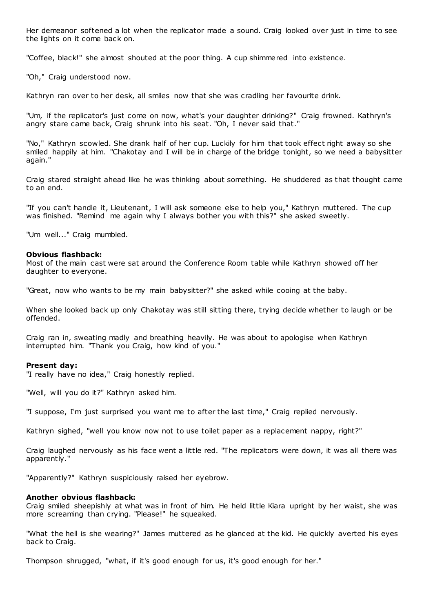Her demeanor softened a lot when the replicator made a sound. Craig looked over just in time to see the lights on it come back on.

"Coffee, black!" she almost shouted at the poor thing. A cup shimmered into existence.

"Oh," Craig understood now.

Kathryn ran over to her desk, all smiles now that she was cradling her favourite drink.

"Um, if the replicator's just come on now, what's your daughter drinking?" Craig frowned. Kathryn's angry stare came back, Craig shrunk into his seat. "Oh, I never said that."

"No," Kathryn scowled. She drank half of her cup. Luckily for him that took effect right away so she smiled happily at him. "Chakotay and I will be in charge of the bridge tonight, so we need a babysitter again."

Craig stared straight ahead like he was thinking about something. He shuddered as that thought came to an end.

"If you can't handle it, Lieutenant, I will ask someone else to help you," Kathryn muttered. The cup was finished. "Remind me again why I always bother you with this?" she asked sweetly.

"Um well..." Craig mumbled.

#### **Obvious flashback:**

Most of the main cast were sat around the Conference Room table while Kathryn showed off her daughter to everyone.

"Great, now who wants to be my main babysitter?" she asked while cooing at the baby.

When she looked back up only Chakotay was still sitting there, trying decide whether to laugh or be offended.

Craig ran in, sweating madly and breathing heavily. He was about to apologise when Kathryn interrupted him. "Thank you Craig, how kind of you."

## **Present day:**

"I really have no idea," Craig honestly replied.

"Well, will you do it?" Kathryn asked him.

"I suppose, I'm just surprised you want me to after the last time," Craig replied nervously.

Kathryn sighed, "well you know now not to use toilet paper as a replacement nappy, right?"

Craig laughed nervously as his face went a little red. "The replicators were down, it was all there was apparently."

"Apparently?" Kathryn suspiciously raised her eyebrow.

## **Another obvious flashback:**

Craig smiled sheepishly at what was in front of him. He held little Kiara upright by her waist, she was more screaming than crying. "Please!" he squeaked.

"What the hell is she wearing?" James muttered as he glanced at the kid. He quickly averted his eyes back to Craig.

Thompson shrugged, "what, if it's good enough for us, it's good enough for her."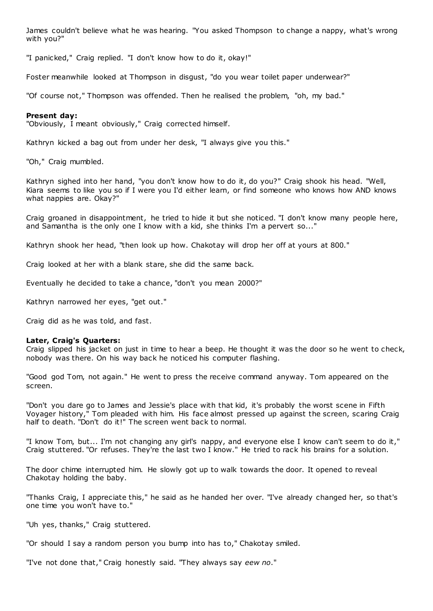James couldn't believe what he was hearing. "You asked Thompson to change a nappy, what's wrong with you?"

"I panicked," Craig replied. "I don't know how to do it, okay!"

Foster meanwhile looked at Thompson in disgust, "do you wear toilet paper underwear?"

"Of course not," Thompson was offended. Then he realised the problem, "oh, my bad."

# **Present day:**

"Obviously, I meant obviously," Craig corrected himself.

Kathryn kicked a bag out from under her desk, "I always give you this."

"Oh," Craig mumbled.

Kathryn sighed into her hand, "you don't know how to do it, do you?" Craig shook his head. "Well, Kiara seems to like you so if I were you I'd either learn, or find someone who knows how AND knows what nappies are. Okay?"

Craig groaned in disappointment, he tried to hide it but she noticed. "I don't know many people here, and Samantha is the only one I know with a kid, she thinks I'm a pervert so..."

Kathryn shook her head, "then look up how. Chakotay will drop her off at yours at 800."

Craig looked at her with a blank stare, she did the same back.

Eventually he decided to take a chance, "don't you mean 2000?"

Kathryn narrowed her eyes, "get out."

Craig did as he was told, and fast.

#### **Later, Craig's Quarters:**

Craig slipped his jacket on just in time to hear a beep. He thought it was the door so he went to check, nobody was there. On his way back he noticed his computer flashing.

"Good god Tom, not again." He went to press the receive command anyway. Tom appeared on the screen.

"Don't you dare go to James and Jessie's place with that kid, it's probably the worst scene in Fifth Voyager history," Tom pleaded with him. His face almost pressed up against the screen, scaring Craig half to death. "Don't do it!" The screen went back to normal.

"I know Tom, but... I'm not changing any girl's nappy, and everyone else I know can't seem to do it," Craig stuttered. "Or refuses. They're the last two I know." He tried to rack his brains for a solution.

The door chime interrupted him. He slowly got up to walk towards the door. It opened to reveal Chakotay holding the baby.

"Thanks Craig, I appreciate this," he said as he handed her over. "I've already changed her, so that's one time you won't have to."

"Uh yes, thanks," Craig stuttered.

"Or should I say a random person you bump into has to," Chakotay smiled.

"I've not done that," Craig honestly said. "They always say *eew no*."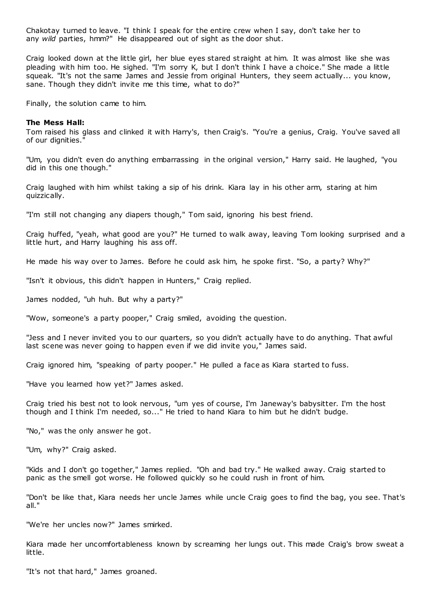Chakotay turned to leave. "I think I speak for the entire crew when I say, don't take her to any *wild* parties, hmm?" He disappeared out of sight as the door shut.

Craig looked down at the little girl, her blue eyes stared st raight at him. It was almost like she was pleading with him too. He sighed. "I'm sorry K, but I don't think I have a choice." She made a little squeak. "It's not the same James and Jessie from original Hunters, they seem actually... you know, sane. Though they didn't invite me this time, what to do?"

Finally, the solution came to him.

## **The Mess Hall:**

Tom raised his glass and clinked it with Harry's, then Craig's. "You're a genius, Craig. You've saved all of our dignities."

"Um, you didn't even do anything embarrassing in the original version," Harry said. He laughed, "you did in this one though."

Craig laughed with him whilst taking a sip of his drink. Kiara lay in his other arm, staring at him quizzically.

"I'm still not changing any diapers though," Tom said, ignoring his best friend.

Craig huffed, "yeah, what good are you?" He turned to walk away, leaving Tom looking surprised and a little hurt, and Harry laughing his ass off.

He made his way over to James. Before he could ask him, he spoke first. "So, a party? Why?"

"Isn't it obvious, this didn't happen in Hunters," Craig replied.

James nodded, "uh huh. But why a party?"

"Wow, someone's a party pooper," Craig smiled, avoiding the question.

"Jess and I never invited you to our quarters, so you didn't actually have to do anything. That awful last scene was never going to happen even if we did invite you," James said.

Craig ignored him, "speaking of party pooper." He pulled a face as Kiara started to fuss.

"Have you learned how yet?" James asked.

Craig tried his best not to look nervous, "um yes of course, I'm Janeway's babysitter. I'm the host though and I think I'm needed, so..." He tried to hand Kiara to him but he didn't budge.

"No," was the only answer he got.

"Um, why?" Craig asked.

"Kids and I don't go together," James replied. "Oh and bad try." He walked away. Craig started to panic as the smell got worse. He followed quickly so he could rush in front of him.

"Don't be like that, Kiara needs her uncle James while uncle Craig goes to find the bag, you see. That's all."

"We're her uncles now?" James smirked.

Kiara made her uncomfortableness known by screaming her lungs out. This made Craig's brow sweat a little.

"It's not that hard," James groaned.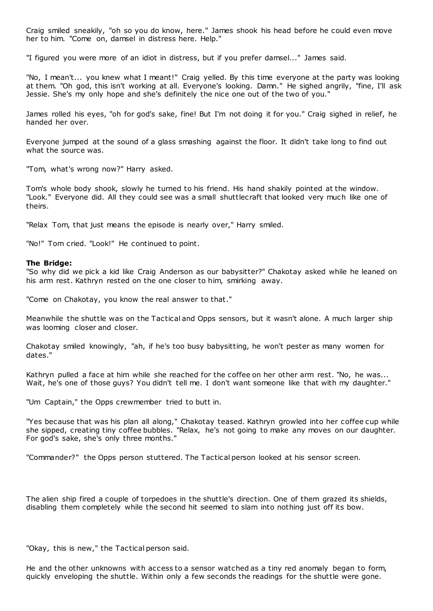Craig smiled sneakily, "oh so you do know, here." James shook his head before he could even move her to him. "Come on, damsel in distress here. Help."

"I figured you were more of an idiot in distress, but if you prefer damsel..." James said.

"No, I mean't... you knew what I meant!" Craig yelled. By this time everyone at the party was looking at them. "Oh god, this isn't working at all. Everyone's looking. Damn." He sighed angrily, "fine, I'll ask Jessie. She's my only hope and she's definitely the nice one out of the two of you."

James rolled his eyes, "oh for god's sake, fine! But I'm not doing it for you." Craig sighed in relief, he handed her over.

Everyone jumped at the sound of a glass smashing against the floor. It didn't take long to find out what the source was.

"Tom, what's wrong now?" Harry asked.

Tom's whole body shook, slowly he turned to his friend. His hand shakily pointed at the window. "Look." Everyone did. All they could see was a small shuttlecraft that looked very much like one of theirs.

"Relax Tom, that just means the episode is nearly over," Harry smiled.

"No!" Tom cried. "Look!" He continued to point.

#### **The Bridge:**

"So why did we pick a kid like Craig Anderson as our babysitter?" Chakotay asked while he leaned on his arm rest. Kathryn rested on the one closer to him, smirking away.

"Come on Chakotay, you know the real answer to that."

Meanwhile the shuttle was on the Tactical and Opps sensors, but it wasn't alone. A much larger ship was looming closer and closer.

Chakotay smiled knowingly, "ah, if he's too busy babysitting, he won't pester as many women for dates."

Kathryn pulled a face at him while she reached for the coffee on her other arm rest. "No, he was... Wait, he's one of those guys? You didn't tell me. I don't want someone like that with my daughter."

"Um Captain," the Opps crewmember tried to butt in.

"Yes because that was his plan all along," Chakotay teased. Kathryn growled into her coffee cup while she sipped, creating tiny coffee bubbles. "Relax, he's not going to make any moves on our daughter. For god's sake, she's only three months."

"Commander?" the Opps person stuttered. The Tactical person looked at his sensor screen.

The alien ship fired a couple of torpedoes in the shuttle's direction. One of them grazed its shields, disabling them completely while the second hit seemed to slam into nothing just off its bow.

"Okay, this is new," the Tactical person said.

He and the other unknowns with access to a sensor watched as a tiny red anomaly began to form, quickly enveloping the shuttle. Within only a few seconds the readings for the shuttle were gone.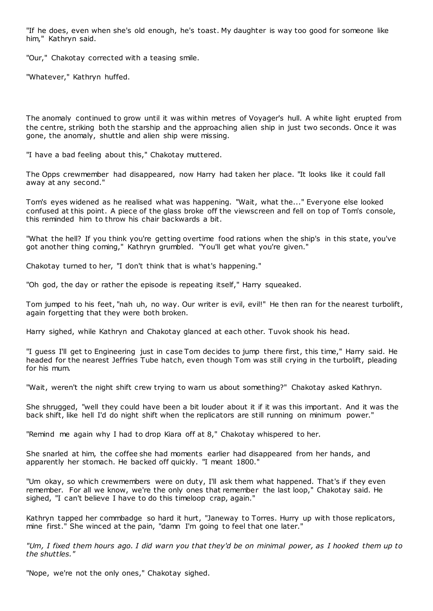"If he does, even when she's old enough, he's toast. My daughter is way too good for someone like him," Kathryn said.

"Our," Chakotay corrected with a teasing smile.

"Whatever," Kathryn huffed.

The anomaly continued to grow until it was within metres of Voyager's hull. A white light erupted from the centre, striking both the starship and the approaching alien ship in just two seconds. Once it was gone, the anomaly, shuttle and alien ship were missing.

"I have a bad feeling about this," Chakotay muttered.

The Opps crewmember had disappeared, now Harry had taken her place. "It looks like it could fall away at any second."

Tom's eyes widened as he realised what was happening. "Wait, what the..." Everyone else looked confused at this point. A piece of the glass broke off the viewscreen and fell on top of Tom's console, this reminded him to throw his chair backwards a bit.

"What the hell? If you think you're getting overtime food rations when the ship's in this state, you've got another thing coming," Kathryn grumbled. "You'll get what you're given."

Chakotay turned to her, "I don't think that is what's happening."

"Oh god, the day or rather the episode is repeating itself," Harry squeaked.

Tom jumped to his feet, "nah uh, no way. Our writer is evil, evil!" He then ran for the nearest turbolift, again forgetting that they were both broken.

Harry sighed, while Kathryn and Chakotay glanced at each other. Tuvok shook his head.

"I guess I'll get to Engineering just in case Tom decides to jump there first, this time," Harry said. He headed for the nearest Jeffries Tube hatch, even though Tom was still crying in the turbolift, pleading for his mum.

"Wait, weren't the night shift crew trying to warn us about something?" Chakotay asked Kathryn.

She shrugged, "well they could have been a bit louder about it if it was this important. And it was the back shift, like hell I'd do night shift when the replicators are still running on minimum power."

"Remind me again why I had to drop Kiara off at 8," Chakotay whispered to her.

She snarled at him, the coffee she had moments earlier had disappeared from her hands, and apparently her stomach. He backed off quickly. "I meant 1800."

"Um okay, so which crewmembers were on duty, I'll ask them what happened. That's if they even remember. For all we know, we're the only ones that remember the last loop," Chakotay said. He sighed, "I can't believe I have to do this timeloop crap, again."

Kathryn tapped her commbadge so hard it hurt, "Janeway to Torres. Hurry up with those replicators, mine first." She winced at the pain, "damn I'm going to feel that one later."

*"Um, I fixed them hours ago. I did warn you that they'd be on minimal power, as I hooked them up to the shuttles."*

"Nope, we're not the only ones," Chakotay sighed.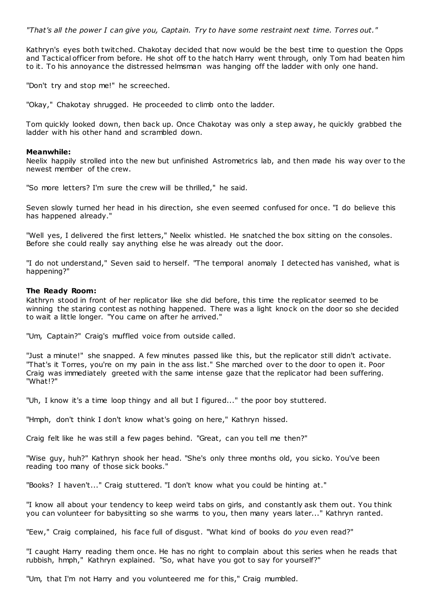*"That's all the power I can give you, Captain. Try to have some restraint next time. Torres out."*

Kathryn's eyes both twitched. Chakotay decided that now would be the best time to question the Opps and Tactical officer from before. He shot off to the hatch Harry went through, only Tom had beaten him to it. To his annoyance the distressed helmsman was hanging off the ladder with only one hand.

"Don't try and stop me!" he screeched.

"Okay," Chakotay shrugged. He proceeded to climb onto the ladder.

Tom quickly looked down, then back up. Once Chakotay was only a step away, he quickly grabbed the ladder with his other hand and scrambled down.

## **Meanwhile:**

Neelix happily strolled into the new but unfinished Astrometrics lab, and then made his way over to the newest member of the crew.

"So more letters? I'm sure the crew will be thrilled," he said.

Seven slowly turned her head in his direction, she even seemed confused for once. "I do believe this has happened already."

"Well yes, I delivered the first letters," Neelix whistled. He snatched the box sitting on the consoles. Before she could really say anything else he was already out the door.

"I do not understand," Seven said to herself. "The temporal anomaly I detected has vanished, what is happening?"

## **The Ready Room:**

Kathryn stood in front of her replicator like she did before, this time the replicator seemed to be winning the staring contest as nothing happened. There was a light knock on the door so she decided to wait a little longer. "You came on after he arrived."

"Um, Captain?" Craig's muffled voice from outside called.

"Just a minute!" she snapped. A few minutes passed like this, but the replicator still didn't activate. "That's it Torres, you're on my pain in the ass list." She marched over to the door to open it. Poor Craig was immediately greeted with the same intense gaze that the replicator had been suffering. "What!?"

"Uh, I know it's a time loop thingy and all but I figured..." the poor boy stuttered.

"Hmph, don't think I don't know what's going on here," Kathryn hissed.

Craig felt like he was still a few pages behind. "Great, can you tell me then?"

"Wise guy, huh?" Kathryn shook her head. "She's only three months old, you sicko. You've been reading too many of those sick books."

"Books? I haven't..." Craig stuttered. "I don't know what you could be hinting at."

"I know all about your tendency to keep weird tabs on girls, and constantly ask them out. You think you can volunteer for babysitting so she warms to you, then many years later..." Kathryn ranted.

"Eew," Craig complained, his face full of disgust. "What kind of books do *you* even read?"

"I caught Harry reading them once. He has no right to complain about this series when he reads that rubbish, hmph," Kathryn explained. "So, what have you got to say for yourself?"

"Um, that I'm not Harry and you volunteered me for this," Craig mumbled.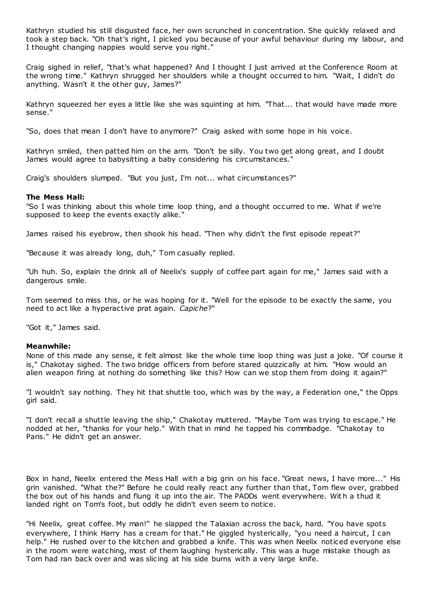Kathryn studied his still disgusted face, her own scrunched in concentration. She quickly relaxed and took a step back. "Oh that's right, I picked you because of your awful behaviour during my labour, and I thought changing nappies would serve you right."

Craig sighed in relief, "that's what happened? And I thought I just arrived at the Conference Room at the wrong time." Kathryn shrugged her shoulders while a thought occurred to him. "Wait, I didn't do anything. Wasn't it the other guy, James?"

Kathryn squeezed her eyes a little like she was squinting at him. "That... that would have made more sense."

"So, does that mean I don't have to anymore?" Craig asked with some hope in his voice.

Kathryn smiled, then patted him on the arm. "Don't be silly. You two get along great, and I doubt James would agree to babysitting a baby considering his circumstances."

Craig's shoulders slumped. "But you just, I'm not... what circumstances?"

# **The Mess Hall:**

"So I was thinking about this whole time loop thing, and a thought occurred to me. What if we're supposed to keep the events exactly alike."

James raised his eyebrow, then shook his head. "Then why didn't the first episode repeat?"

"Because it was already long, duh," Tom casually replied.

"Uh huh. So, explain the drink all of Neelix's supply of coffee part again for me," James said with a dangerous smile.

Tom seemed to miss this, or he was hoping for it. "Well for the episode to be exactly the same, you need to act like a hyperactive prat again. *Capiche*?"

"Got it," James said.

# **Meanwhile:**

None of this made any sense, it felt almost like the whole time loop thing was just a joke. "Of course it is," Chakotay sighed. The two bridge officers from before stared quizzically at him. "How would an alien weapon firing at nothing do something like this? How can we stop them from doing it again?"

"I wouldn't say nothing. They hit that shuttle too, which was by the way, a Federation one," the Opps girl said.

"I don't recall a shuttle leaving the ship," Chakotay muttered. "Maybe Tom was trying to escape." He nodded at her, "thanks for your help." With that in mind he tapped his commbadge. "Chakotay to Paris." He didn't get an answer.

Box in hand, Neelix entered the Mess Hall with a big grin on his face. "Great news, I have more..." His grin vanished. "What the?" Before he could really react any further than that, Tom flew over, grabbed the box out of his hands and flung it up into the air. The PADDs went everywhere. Wit h a thud it landed right on Tom's foot, but oddly he didn't even seem to notice.

"Hi Neelix, great coffee. My man!" he slapped the Talaxian across the back, hard. "You have spots everywhere, I think Harry has a cream for that." He giggled hysterically, "you need a haircut, I can help." He rushed over to the kitchen and grabbed a knife. This was when Neelix noticed everyone else in the room were watching, most of them laughing hysterically. This was a huge mistake though as Tom had ran back over and was slic ing at his side burns with a very large knife.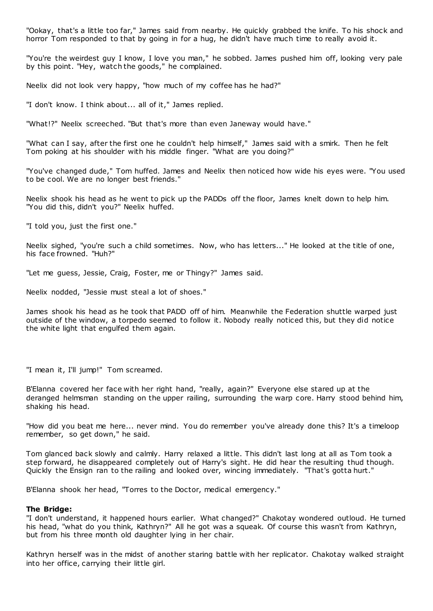"Ookay, that's a little too far," James said from nearby. He quickly grabbed the knife. To his shock and horror Tom responded to that by going in for a hug, he didn't have much time to really avoid it.

"You're the weirdest guy I know, I love you man," he sobbed. James pushed him off, looking very pale by this point. "Hey, watch the goods," he complained.

Neelix did not look very happy, "how much of my coffee has he had?"

"I don't know. I think about... all of it," James replied.

"What!?" Neelix screeched. "But that's more than even Janeway would have."

"What can I say, after the first one he couldn't help himself," James said with a smirk. Then he felt Tom poking at his shoulder with his middle finger. "What are you doing?"

"You've changed dude," Tom huffed. James and Neelix then noticed how wide his eyes were. "You used to be cool. We are no longer best friends."

Neelix shook his head as he went to pick up the PADDs off the floor, James knelt down to help him. "You did this, didn't you?" Neelix huffed.

"I told you, just the first one."

Neelix sighed, "you're such a child sometimes. Now, who has letters..." He looked at the title of one, his face frowned. "Huh?"

"Let me guess, Jessie, Craig, Foster, me or Thingy?" James said.

Neelix nodded, "Jessie must steal a lot of shoes."

James shook his head as he took that PADD off of him. Meanwhile the Federation shuttle warped just outside of the window, a torpedo seemed to follow it. Nobody really noticed this, but they did notice the white light that engulfed them again.

"I mean it, I'll jump!" Tom screamed.

B'Elanna covered her face with her right hand, "really, again?" Everyone else stared up at the deranged helmsman standing on the upper railing, surrounding the warp core. Harry stood behind him, shaking his head.

"How did you beat me here... never mind. You do remember you've already done this? It's a timeloop remember, so get down," he said.

Tom glanced back slowly and calmly. Harry relaxed a little. This didn't last long at all as Tom took a step forward, he disappeared completely out of Harry's sight. He did hear the resulting thud though. Quickly the Ensign ran to the railing and looked over, wincing immediately. "That's gotta hurt."

B'Elanna shook her head, "Torres to the Doctor, medical emergency."

#### **The Bridge:**

"I don't understand, it happened hours earlier. What changed?" Chakotay wondered outloud. He turned his head, "what do you think, Kathryn?" All he got was a squeak. Of course this wasn't from Kathryn, but from his three month old daughter lying in her chair.

Kathryn herself was in the midst of another staring battle with her replicator. Chakotay walked straight into her office, carrying their little girl.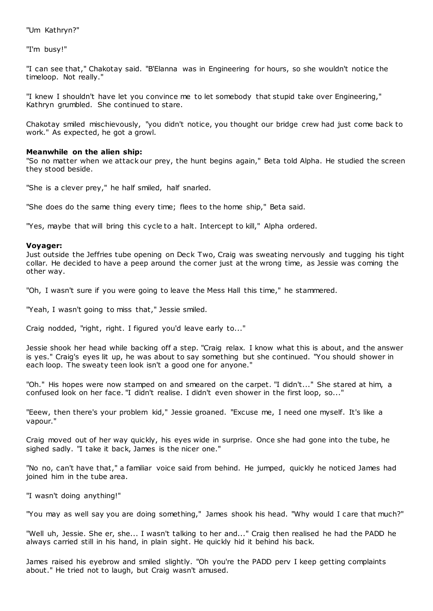"Um Kathryn?"

"I'm busy!"

"I can see that," Chakotay said. "B'Elanna was in Engineering for hours, so she wouldn't notice the timeloop. Not really."

"I knew I shouldn't have let you convince me to let somebody that stupid take over Engineering," Kathryn grumbled. She continued to stare.

Chakotay smiled mischievously, "you didn't notice, you thought our bridge crew had just come back to work." As expected, he got a growl.

# **Meanwhile on the alien ship:**

"So no matter when we attack our prey, the hunt begins again," Beta told Alpha. He studied the screen they stood beside.

"She is a clever prey," he half smiled, half snarled.

"She does do the same thing every time; flees to the home ship," Beta said.

"Yes, maybe that will bring this cycle to a halt. Intercept to kill," Alpha ordered.

# **Voyager:**

Just outside the Jeffries tube opening on Deck Two, Craig was sweating nervously and tugging his tight collar. He decided to have a peep around the corner just at the wrong time, as Jessie was coming the other way.

"Oh, I wasn't sure if you were going to leave the Mess Hall this time," he stammered.

"Yeah, I wasn't going to miss that," Jessie smiled.

Craig nodded, "right, right. I figured you'd leave early to..."

Jessie shook her head while backing off a step. "Craig relax. I know what this is about, and the answer is yes." Craig's eyes lit up, he was about to say something but she continued. "You should shower in each loop. The sweaty teen look isn't a good one for anyone."

"Oh." His hopes were now stamped on and smeared on the carpet. "I didn't..." She stared at him, a confused look on her face. "I didn't realise. I didn't even shower in the first loop, so..."

"Eeew, then there's your problem kid," Jessie groaned. "Excuse me, I need one myself. It's like a vapour."

Craig moved out of her way quickly, his eyes wide in surprise. Once she had gone into the tube, he sighed sadly. "I take it back, James is the nicer one."

"No no, can't have that," a familiar voice said from behind. He jumped, quickly he noticed James had joined him in the tube area.

"I wasn't doing anything!"

"You may as well say you are doing something," James shook his head. "Why would I care that much?"

"Well uh, Jessie. She er, she... I wasn't talking to her and..." Craig then realised he had the PADD he always carried still in his hand, in plain sight. He quickly hid it behind his back.

James raised his eyebrow and smiled slightly. "Oh you're the PADD perv I keep getting complaints about." He tried not to laugh, but Craig wasn't amused.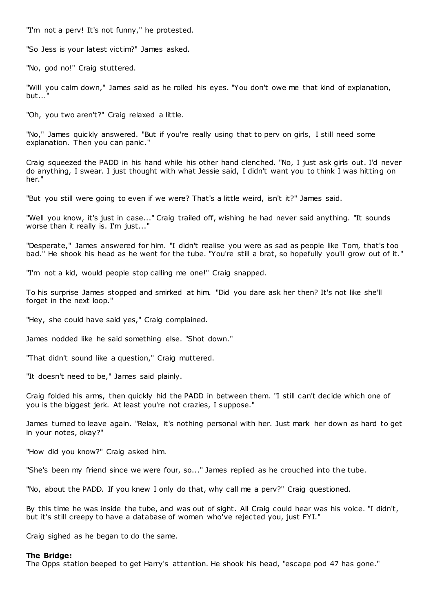"I'm not a perv! It's not funny," he protested.

"So Jess is your latest victim?" James asked.

"No, god no!" Craig stuttered.

"Will you calm down," James said as he rolled his eyes. "You don't owe me that kind of explanation,  $but...$ 

"Oh, you two aren't?" Craig relaxed a little.

"No," James quickly answered. "But if you're really using that to perv on girls, I still need some explanation. Then you can panic ."

Craig squeezed the PADD in his hand while his other hand clenched. "No, I just ask girls out. I'd never do anything, I swear. I just thought with what Jessie said, I didn't want you to think I was hitting on her."

"But you still were going to even if we were? That's a little weird, isn't it?" James said.

"Well you know, it's just in case..." Craig trailed off, wishing he had never said anything. "It sounds worse than it really is. I'm just..."

"Desperate," James answered for him. "I didn't realise you were as sad as people like Tom, that's too bad." He shook his head as he went for the tube. "You're still a brat, so hopefully you'll grow out of it."

"I'm not a kid, would people stop calling me one!" Craig snapped.

To his surprise James stopped and smirked at him. "Did you dare ask her then? It's not like she'll forget in the next loop."

"Hey, she could have said yes," Craig complained.

James nodded like he said something else. "Shot down."

"That didn't sound like a question," Craig muttered.

"It doesn't need to be," James said plainly.

Craig folded his arms, then quickly hid the PADD in between them. "I still can't decide which one of you is the biggest jerk. At least you're not crazies, I suppose."

James turned to leave again. "Relax, it's nothing personal with her. Just mark her down as hard to get in your notes, okay?"

"How did you know?" Craig asked him.

"She's been my friend since we were four, so..." James replied as he crouched into the tube.

"No, about the PADD. If you knew I only do that, why call me a perv?" Craig questioned.

By this time he was inside the tube, and was out of sight. All Craig could hear was his voice. "I didn't, but it's still creepy to have a database of women who've rejected you, just FYI."

Craig sighed as he began to do the same.

#### **The Bridge:**

The Opps station beeped to get Harry's attention. He shook his head, "escape pod 47 has gone."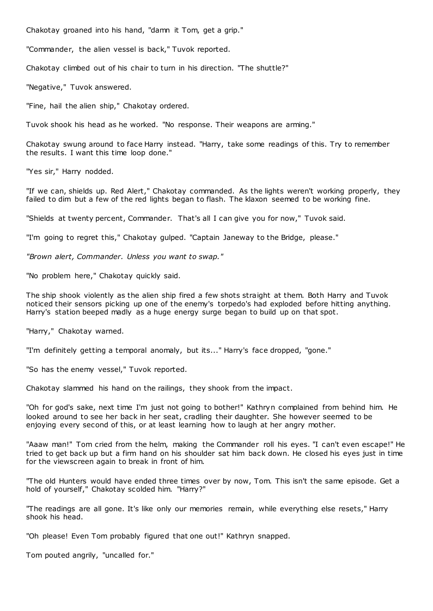Chakotay groaned into his hand, "damn it Tom, get a grip."

"Commander, the alien vessel is back," Tuvok reported.

Chakotay climbed out of his chair to turn in his direction. "The shuttle?"

"Negative," Tuvok answered.

"Fine, hail the alien ship," Chakotay ordered.

Tuvok shook his head as he worked. "No response. Their weapons are arming."

Chakotay swung around to face Harry instead. "Harry, take some readings of this. Try to remember the results. I want this time loop done."

"Yes sir," Harry nodded.

"If we can, shields up. Red Alert," Chakotay commanded. As the lights weren't working properly, they failed to dim but a few of the red lights began to flash. The klaxon seemed to be working fine.

"Shields at twenty percent, Commander. That's all I can give you for now," Tuvok said.

"I'm going to regret this," Chakotay gulped. "Captain Janeway to the Bridge, please."

*"Brown alert, Commander. Unless you want to swap."*

"No problem here," Chakotay quickly said.

The ship shook violently as the alien ship fired a few shots straight at them. Both Harry and Tuvok noticed their sensors picking up one of the enemy's torpedo's had exploded before hitting anything. Harry's station beeped madly as a huge energy surge began to build up on that spot.

"Harry," Chakotay warned.

"I'm definitely getting a temporal anomaly, but its..." Harry's face dropped, "gone."

"So has the enemy vessel," Tuvok reported.

Chakotay slammed his hand on the railings, they shook from the impact.

"Oh for god's sake, next time I'm just not going to bother!" Kathryn complained from behind him. He looked around to see her back in her seat, cradling their daughter. She however seemed to be enjoying every second of this, or at least learning how to laugh at her angry mother.

"Aaaw man!" Tom cried from the helm, making the Commander roll his eyes. "I can't even escape!" He tried to get back up but a firm hand on his shoulder sat him back down. He closed his eyes just in time for the viewscreen again to break in front of him.

"The old Hunters would have ended three times over by now, Tom. This isn't the same episode. Get a hold of yourself," Chakotay scolded him. "Harry?"

"The readings are all gone. It's like only our memories remain, while everything else resets," Harry shook his head.

"Oh please! Even Tom probably figured that one out!" Kathryn snapped.

Tom pouted angrily, "uncalled for."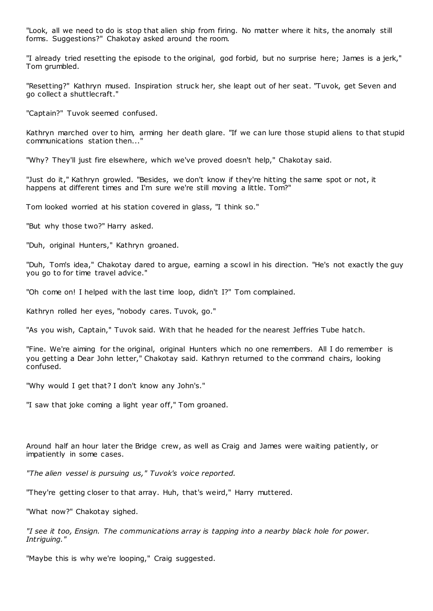"Look, all we need to do is stop that alien ship from firing. No matter where it hits, the anomaly still forms. Suggestions?" Chakotay asked around the room.

"I already tried resetting the episode to the original, god forbid, but no surprise here; James is a jerk," Tom grumbled.

"Resetting?" Kathryn mused. Inspiration struck her, she leapt out of her seat. "Tuvok, get Seven and go collect a shuttlecraft."

"Captain?" Tuvok seemed confused.

Kathryn marched over to him, arming her death glare. "If we can lure those stupid aliens to that stupid communications station then..."

"Why? They'll just fire elsewhere, which we've proved doesn't help," Chakotay said.

"Just do it," Kathryn growled. "Besides, we don't know if they're hitting the same spot or not, it happens at different times and I'm sure we're still moving a little. Tom?"

Tom looked worried at his station covered in glass, "I think so."

"But why those two?" Harry asked.

"Duh, original Hunters," Kathryn groaned.

"Duh, Tom's idea," Chakotay dared to argue, earning a scowl in his direction. "He's not exactly the guy you go to for time travel advice."

"Oh come on! I helped with the last time loop, didn't I?" Tom complained.

Kathryn rolled her eyes, "nobody cares. Tuvok, go."

"As you wish, Captain," Tuvok said. With that he headed for the nearest Jeffries Tube hatch.

"Fine. We're aiming for the original, original Hunters which no one remembers. All I do remember is you getting a Dear John letter," Chakotay said. Kathryn returned to the command chairs, looking confused.

"Why would I get that? I don't know any John's."

"I saw that joke coming a light year off," Tom groaned.

Around half an hour later the Bridge crew, as well as Craig and James were waiting patiently, or impatiently in some cases.

*"The alien vessel is pursuing us," Tuvok's voice reported.*

"They're getting closer to that array. Huh, that's weird," Harry muttered.

"What now?" Chakotay sighed.

*"I see it too, Ensign. The communications array is tapping into a nearby black hole for power. Intriguing."*

"Maybe this is why we're looping," Craig suggested.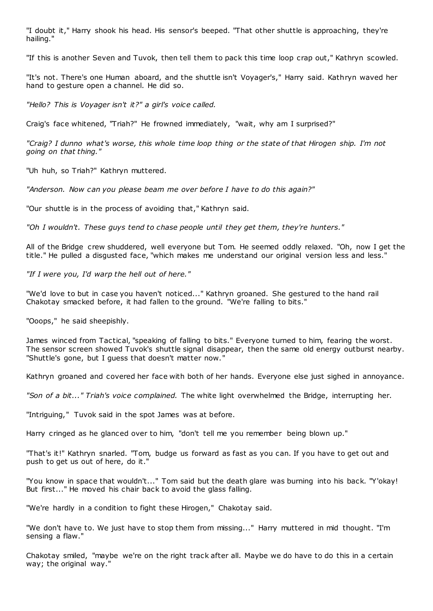"I doubt it," Harry shook his head. His sensor's beeped. "That other shuttle is approaching, they're hailing."

"If this is another Seven and Tuvok, then tell them to pack this time loop crap out," Kathryn scowled.

"It's not. There's one Human aboard, and the shuttle isn't Voyager's," Harry said. Kathryn waved her hand to gesture open a channel. He did so.

*"Hello? This is Voyager isn't it?" a girl's voice called.*

Craig's face whitened, "Triah?" He frowned immediately, "wait, why am I surprised?"

*"Craig? I dunno what's worse, this whole time loop thing or the state of that Hirogen ship. I'm not going on that thing."*

"Uh huh, so Triah?" Kathryn muttered.

*"Anderson. Now can you please beam me over before I have to do this again?"*

"Our shuttle is in the process of avoiding that," Kathryn said.

*"Oh I wouldn't. These guys tend to chase people until they get them, they're hunters."*

All of the Bridge crew shuddered, well everyone but Tom. He seemed oddly relaxed. "Oh, now I get the title." He pulled a disgusted face, "which makes me understand our original version less and less."

*"If I were you, I'd warp the hell out of here."*

"We'd love to but in case you haven't noticed..." Kathryn groaned. She gestured to the hand rail Chakotay smacked before, it had fallen to the ground. "We're falling to bits."

"Ooops," he said sheepishly.

James winced from Tactical, "speaking of falling to bits." Everyone turned to him, fearing the worst. The sensor screen showed Tuvok's shuttle signal disappear, then the same old energy outburst nearby. "Shuttle's gone, but I guess that doesn't matter now."

Kathryn groaned and covered her face with both of her hands. Everyone else just sighed in annoyance.

*"Son of a bit..." Triah's voice complained.* The white light overwhelmed the Bridge, interrupting her.

"Intriguing," Tuvok said in the spot James was at before.

Harry cringed as he glanced over to him, "don't tell me you remember being blown up."

"That's it!" Kathryn snarled. "Tom, budge us forward as fast as you can. If you have to get out and push to get us out of here, do it."

"You know in space that wouldn't..." Tom said but the death glare was burning into his back. "Y'okay! But first..." He moved his chair back to avoid the glass falling.

"We're hardly in a condition to fight these Hirogen," Chakotay said.

"We don't have to. We just have to stop them from missing..." Harry muttered in mid thought. "I'm sensing a flaw."

Chakotay smiled, "maybe we're on the right track after all. Maybe we do have to do this in a certain way; the original way."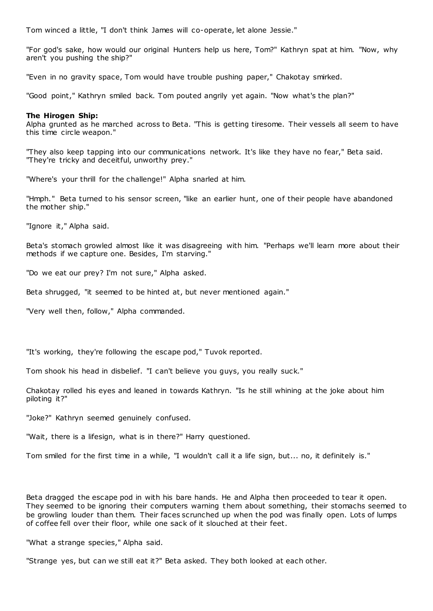Tom winced a little, "I don't think James will co-operate, let alone Jessie."

"For god's sake, how would our original Hunters help us here, Tom?" Kathryn spat at him. "Now, why aren't you pushing the ship?"

"Even in no gravity space, Tom would have trouble pushing paper," Chakotay smirked.

"Good point," Kathryn smiled back. Tom pouted angrily yet again. "Now what's the plan?"

## **The Hirogen Ship:**

Alpha grunted as he marched across to Beta. "This is getting tiresome. Their vessels all seem to have this time circle weapon."

"They also keep tapping into our communications network. It's like they have no fear," Beta said. "They're tricky and deceitful, unworthy prey."

"Where's your thrill for the challenge!" Alpha snarled at him.

"Hmph." Beta turned to his sensor screen, "like an earlier hunt, one of their people have abandoned the mother ship."

"Ignore it," Alpha said.

Beta's stomach growled almost like it was disagreeing with him. "Perhaps we'll learn more about their methods if we capture one. Besides, I'm starving."

"Do we eat our prey? I'm not sure," Alpha asked.

Beta shrugged, "it seemed to be hinted at, but never mentioned again."

"Very well then, follow," Alpha commanded.

"It's working, they're following the escape pod," Tuvok reported.

Tom shook his head in disbelief. "I can't believe you guys, you really suck."

Chakotay rolled his eyes and leaned in towards Kathryn. "Is he still whining at the joke about him piloting it?"

"Joke?" Kathryn seemed genuinely confused.

"Wait, there is a lifesign, what is in there?" Harry questioned.

Tom smiled for the first time in a while, "I wouldn't call it a life sign, but... no, it definitely is."

Beta dragged the escape pod in with his bare hands. He and Alpha then proceeded to tear it open. They seemed to be ignoring their computers warning them about something, their stomachs seemed to be growling louder than them. Their faces scrunched up when the pod was finally open. Lots of lumps of coffee fell over their floor, while one sack of it slouched at their feet.

"What a strange species," Alpha said.

"Strange yes, but can we still eat it?" Beta asked. They both looked at each other.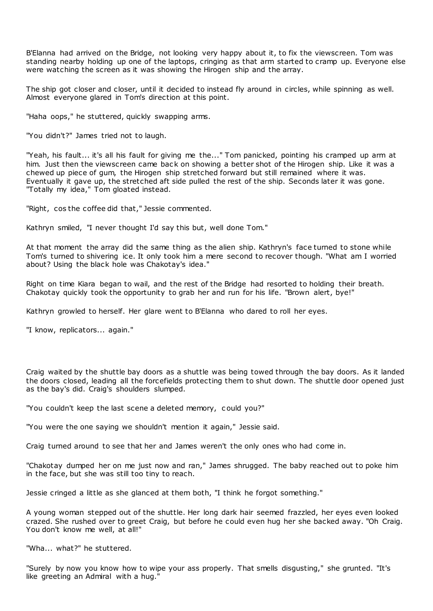B'Elanna had arrived on the Bridge, not looking very happy about it, to fix the viewscreen. Tom was standing nearby holding up one of the laptops, cringing as that arm started to cramp up. Everyone else were watching the screen as it was showing the Hirogen ship and the array.

The ship got closer and closer, until it decided to instead fly around in circles, while spinning as well. Almost everyone glared in Tom's direction at this point.

"Haha oops," he stuttered, quickly swapping arms.

"You didn't?" James tried not to laugh.

"Yeah, his fault... it's all his fault for giving me the..." Tom panicked, pointing his cramped up arm at him. Just then the viewscreen came back on showing a better shot of the Hirogen ship. Like it was a chewed up piece of gum, the Hirogen ship stretched forward but still remained where it was. Eventually it gave up, the stretched aft side pulled the rest of the ship. Seconds later it was gone. "Totally my idea," Tom gloated instead.

"Right, cos the coffee did that," Jessie commented.

Kathryn smiled, "I never thought I'd say this but, well done Tom."

At that moment the array did the same thing as the alien ship. Kathryn's face turned to stone while Tom's turned to shivering ice. It only took him a mere second to recover though. "What am I worried about? Using the black hole was Chakotay's idea."

Right on time Kiara began to wail, and the rest of the Bridge had resorted to holding their breath. Chakotay quickly took the opportunity to grab her and run for his life. "Brown alert, bye!"

Kathryn growled to herself. Her glare went to B'Elanna who dared to roll her eyes.

"I know, replicators... again."

Craig waited by the shuttle bay doors as a shuttle was being towed through the bay doors. As it landed the doors closed, leading all the forcefields protecting them to shut down. The shuttle door opened just as the bay's did. Craig's shoulders slumped.

"You couldn't keep the last scene a deleted memory, c ould you?"

"You were the one saying we shouldn't mention it again," Jessie said.

Craig turned around to see that her and James weren't the only ones who had come in.

"Chakotay dumped her on me just now and ran," James shrugged. The baby reached out to poke him in the face, but she was still too tiny to reach.

Jessie cringed a little as she glanced at them both, "I think he forgot something."

A young woman stepped out of the shuttle. Her long dark hair seemed frazzled, her eyes even looked crazed. She rushed over to greet Craig, but before he could even hug her she backed away. "Oh Craig. You don't know me well, at all!"

"Wha... what?" he stuttered.

"Surely by now you know how to wipe your ass properly. That smells disgusting," she grunted. "It's like greeting an Admiral with a hug."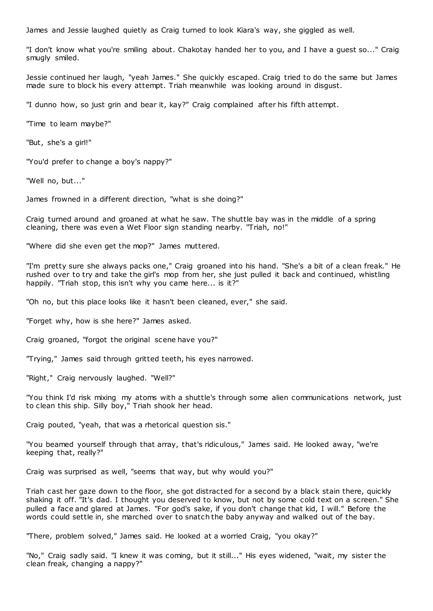James and Jessie laughed quietly as Craig turned to look Kiara's way, she giggled as well.

"I don't know what you're smiling about. Chakotay handed her to you, and I have a guest so..." Craig smugly smiled.

Jessie continued her laugh, "yeah James." She quickly escaped. Craig tried to do the same but James made sure to block his every attempt. Triah meanwhile was looking around in disgust.

"I dunno how, so just grin and bear it, kay?" Craig complained after his fifth attempt.

"Time to learn maybe?"

"But, she's a girl!"

"You'd prefer to change a boy's nappy?"

"Well no, but..."

James frowned in a different direction, "what is she doing?"

Craig turned around and groaned at what he saw. The shuttle bay was in the middle of a spring cleaning, there was even a Wet Floor sign standing nearby. "Triah, no!"

"Where did she even get the mop?" James muttered.

"I'm pretty sure she always packs one," Craig groaned into his hand. "She's a bit of a clean freak." He rushed over to try and take the girl's mop from her, she just pulled it back and continued, whistling happily. "Triah stop, this isn't why you came here... is it?"

"Oh no, but this place looks like it hasn't been cleaned, ever," she said.

"Forget why, how is she here?" James asked.

Craig groaned, "forgot the original scene have you?"

"Trying," James said through gritted teeth, his eyes narrowed.

"Right," Craig nervously laughed. "Well?"

"You think I'd risk mixing my atoms with a shuttle's through some alien communications network, just to clean this ship. Silly boy," Triah shook her head.

Craig pouted, "yeah, that was a rhetorical question sis."

"You beamed yourself through that array, that's ridiculous," James said. He looked away, "we're keeping that, really?"

Craig was surprised as well, "seems that way, but why would you?"

Triah cast her gaze down to the floor, she got distracted for a second by a black stain there, quickly shaking it off. "It's dad. I thought you deserved to know, but not by some cold text on a screen." She pulled a face and glared at James. "For god's sake, if you don't change that kid, I will." Before the words could settle in, she marched over to snatch the baby anyway and walked out of the bay.

"There, problem solved," James said. He looked at a worried Craig, "you okay?"

"No," Craig sadly said. "I knew it was coming, but it still..." His eyes widened, "wait, my sister the clean freak, changing a nappy?"